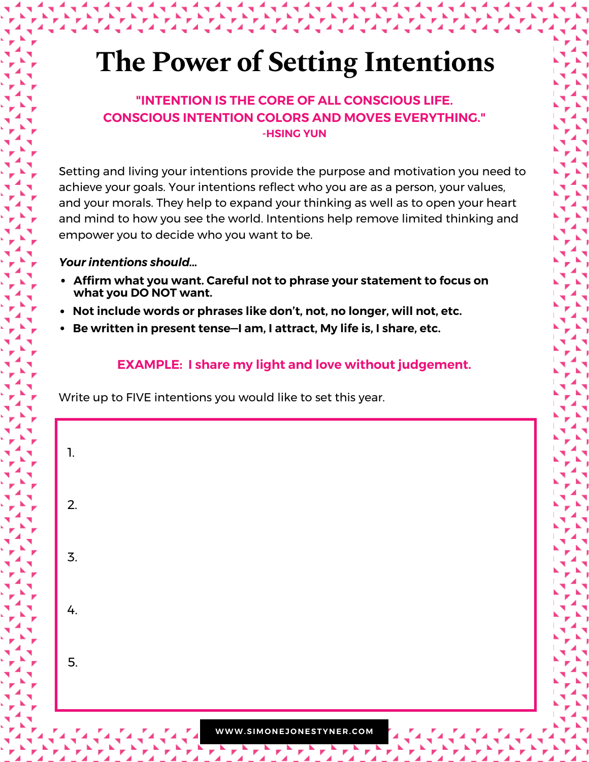# **The Power of Setting Intentions**

#### **"INTENTION IS THE CORE OF ALL CONSCIOUS LIFE. CONSCIOUS INTENTION COLORS AND MOVES EVERYTHING." -HSING YUN**

Setting and living your intentions provide the purpose and motivation you need to achieve your goals. Your intentions reflect who you are as a person, your values, and your morals. They help to expand your thinking as well as to open your heart and mind to how you see the world. Intentions help remove limited thinking and empower you to decide who you want to be.

#### *Your intentions should...*

- **Affirm what you want. Careful not to phrase your statement to focus on what you DO NOT want.**
- **Not include words or phrases like don't, not, no longer, will not, etc.**
- **Be written in present tense—I am, I attract, My life is, I share, etc.**

#### **EXAMPLE: I share my light and love without judgement.**

Write up to FIVE intentions you would like to set this year.

| $\mathbf{1}$ . |  |  |  |
|----------------|--|--|--|
| 2.             |  |  |  |
| 3.             |  |  |  |
| 4.             |  |  |  |
| 5.             |  |  |  |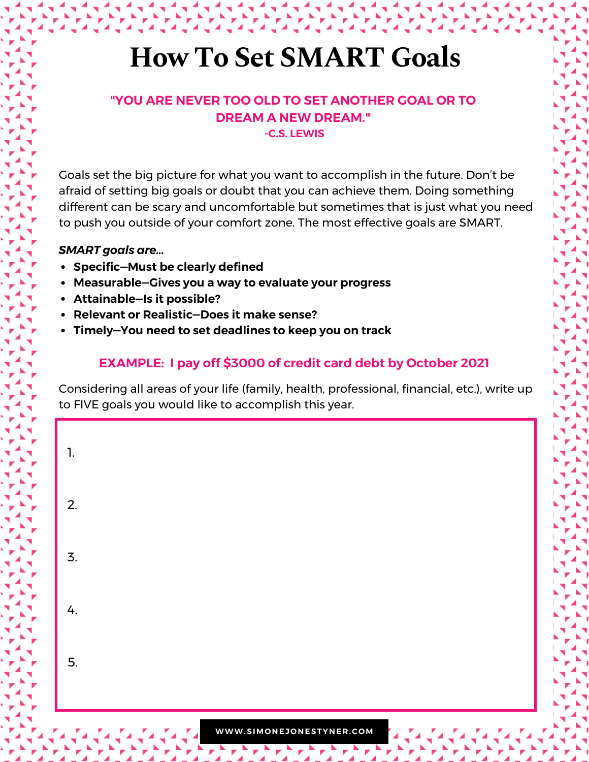### **How To Set SMART Goals**

#### **"YOU ARE NEVER TOO OLD TO SET ANOTHER GOAL OR TO DREAM A NEW DREAM." -C.S. LEWIS**

Goals set the big picture for what you want to accomplish in the future. Don't be afraid of setting big goals or doubt that you can achieve them. Doing something different can be scary and uncomfortable but sometimes that is just what you need to push you outside of your comfort zone. The most effective goals are SMART.

#### *SMART goals are...*

- **Specific—Must be clearly defined**
- **Measurable—Gives you a way to evaluate your progress**
- **Attainable—Is it possible?**
- **Relevant or Realistic—Does it make sense?**
- **Timely—You need to set deadlines to keep you on track**

#### **EXAMPLE: I pay off \$3000 of credit card debt by October 2021**

Considering all areas of your life (family, health, professional, financial, etc.), write up to FIVE goals you would like to accomplish this year.

| $\mathbf{1}$ . |  |  |  |
|----------------|--|--|--|
| 2.             |  |  |  |
| 3.             |  |  |  |
| 4.             |  |  |  |
| 5.             |  |  |  |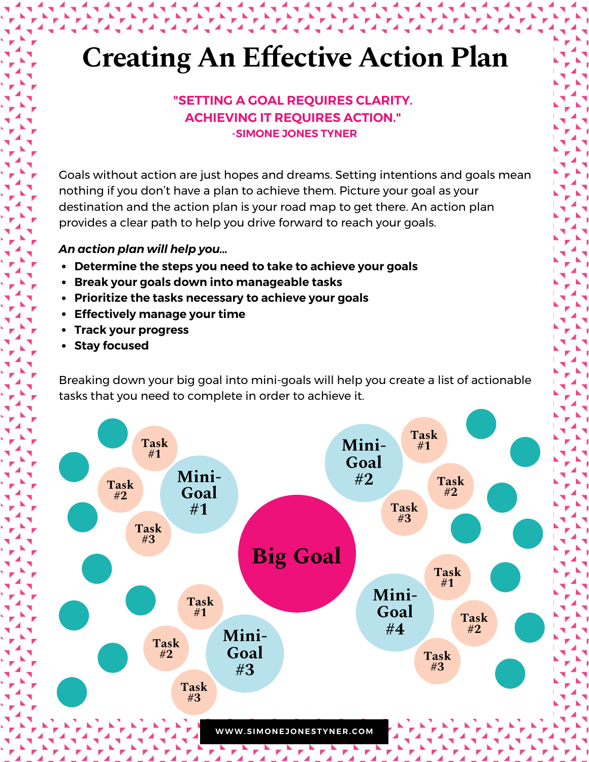#### **"SETTING A GOAL REQUIRES CLARITY. ACHIEVING IT REQUIRES ACTION." -SIMONE JONES TYNER**

Goals without action are just hopes and dreams. Setting intentions and goals mean nothing if you don't have a plan to achieve them. Picture your goal as your destination and the action plan is your road map to get there. An action plan provides a clear path to help you drive forward to reach your goals.

#### *An action plan will help you...*

- **Determine the steps you need to take to achieve your goals**
- **Break your goals down into manageable tasks**
- **Prioritize the tasks necessary to achieve your goals**
- **Effectively manage your time**
- **Track your progress**
- **Stay focused**

Breaking down your big goal into mini-goals will help you create a list of actionable tasks that you need to complete in order to achieve it.

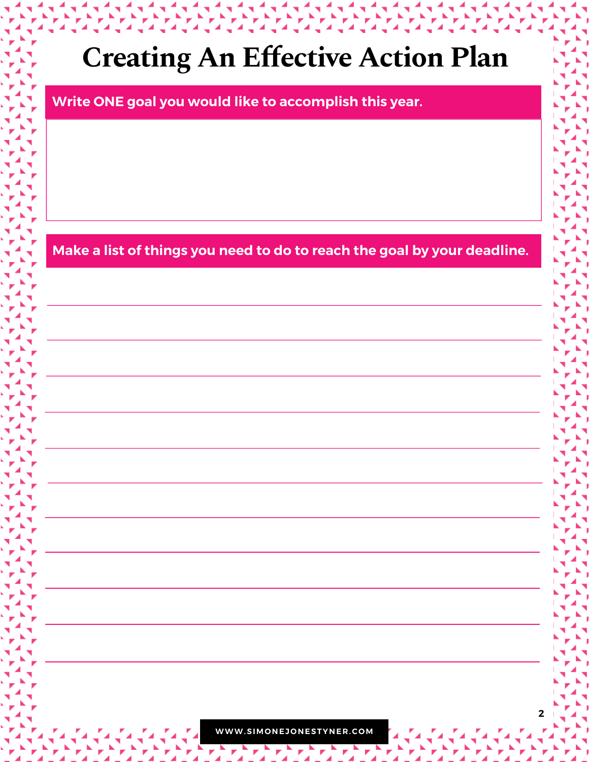**Write ONE goal you would like to accomplish this year.**

**Make a list of things you need to do to reach the goal by your deadline.**

**WWW.SIMO NEJ O NESTYNER.C OM**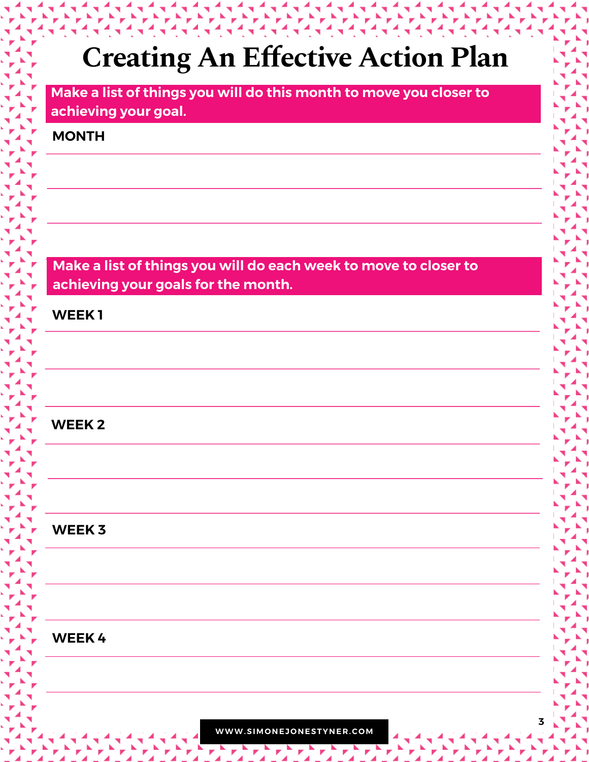**Make a list of things you will do this month to move you closer to achieving your goal.**

#### **MONTH**

**Make a list of things you will do each week to move to closer to achieving your goals for the month.**

**WEEK 1**

#### **WEEK 2**

#### **WEEK 3**

#### **WEEK 4**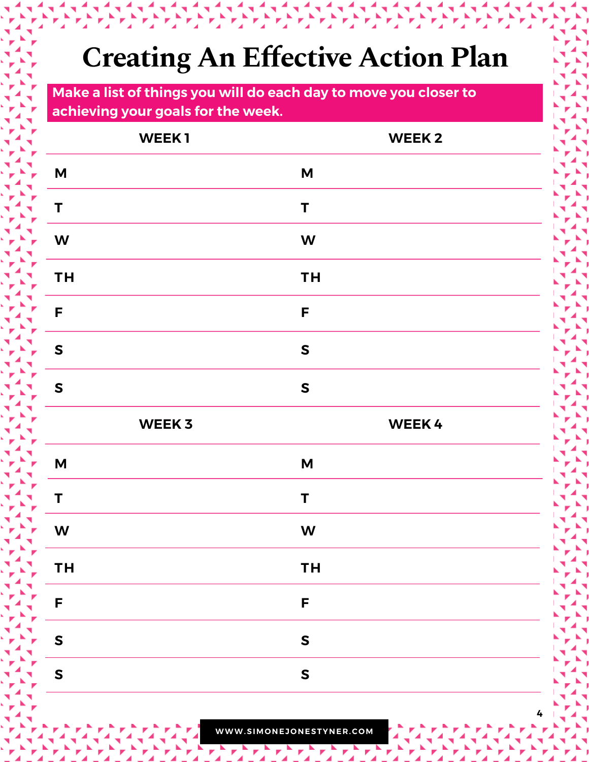**Make a list of things you will do each day to move you closer to achieving your goals for the week.**

| WEEK1                     | <b>WEEK2</b>              |
|---------------------------|---------------------------|
| M                         | $\boldsymbol{\mathsf{M}}$ |
| T                         | $\mathsf T$               |
| W                         | W                         |
| <b>TH</b>                 | <b>TH</b>                 |
| F                         | F                         |
| ${\sf S}$                 | $\mathsf{s}$              |
| ${\sf S}$                 | $\mathsf{s}$              |
|                           |                           |
| WEEK 3                    | <b>WEEK4</b>              |
| $\boldsymbol{\mathsf{M}}$ | $\mathsf{M}$              |
| T                         | T                         |
| W                         | W                         |
| <b>TH</b>                 | <b>TH</b>                 |
| F                         | F                         |
| $\mathsf{s}$              | ${\sf S}$                 |

**4**